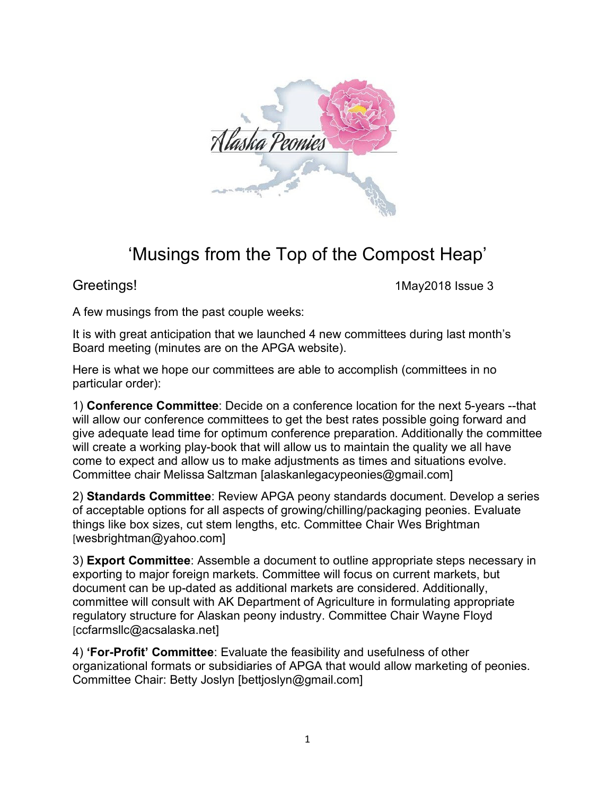

## 'Musings from the Top of the Compost Heap'

Greetings! Greetings 3

A few musings from the past couple weeks:

It is with great anticipation that we launched 4 new committees during last month's Board meeting (minutes are on the APGA website).

Here is what we hope our committees are able to accomplish (committees in no particular order):

1) **Conference Committee**: Decide on a conference location for the next 5-years --that will allow our conference committees to get the best rates possible going forward and give adequate lead time for optimum conference preparation. Additionally the committee will create a working play-book that will allow us to maintain the quality we all have come to expect and allow us to make adjustments as times and situations evolve. Committee chair Melissa Saltzman [alaskanlegacypeonies@gmail.com]

2) **Standards Committee**: Review APGA peony standards document. Develop a series of acceptable options for all aspects of growing/chilling/packaging peonies. Evaluate things like box sizes, cut stem lengths, etc. Committee Chair Wes Brightman [wesbrightman@yahoo.com]

3) **Export Committee**: Assemble a document to outline appropriate steps necessary in exporting to major foreign markets. Committee will focus on current markets, but document can be up-dated as additional markets are considered. Additionally, committee will consult with AK Department of Agriculture in formulating appropriate regulatory structure for Alaskan peony industry. Committee Chair Wayne Floyd [ccfarmsllc@acsalaska.net]

4) **'For-Profit' Committee**: Evaluate the feasibility and usefulness of other organizational formats or subsidiaries of APGA that would allow marketing of peonies. Committee Chair: Betty Joslyn [bettjoslyn@gmail.com]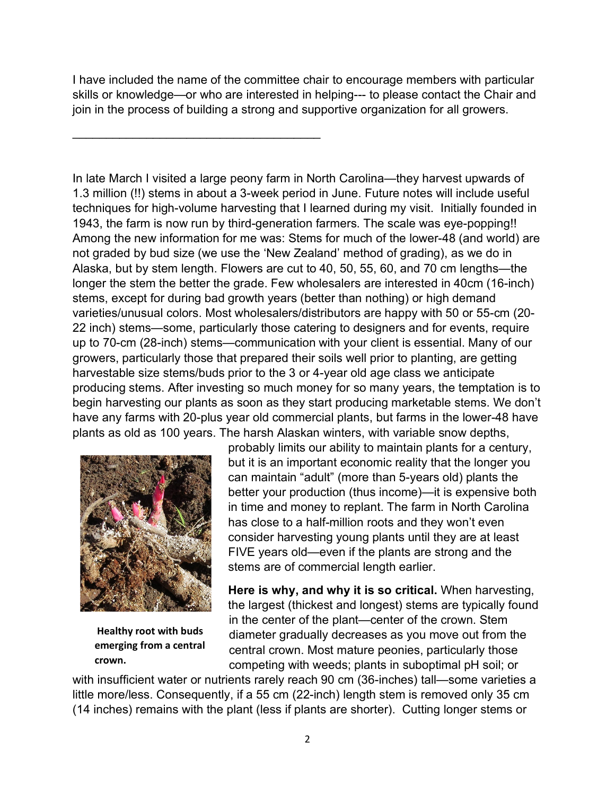I have included the name of the committee chair to encourage members with particular skills or knowledge—or who are interested in helping--- to please contact the Chair and join in the process of building a strong and supportive organization for all growers.

 $\mathcal{L}_\text{max}$  , and the set of the set of the set of the set of the set of the set of the set of the set of the set of the set of the set of the set of the set of the set of the set of the set of the set of the set of the

In late March I visited a large peony farm in North Carolina—they harvest upwards of 1.3 million (!!) stems in about a 3-week period in June. Future notes will include useful techniques for high-volume harvesting that I learned during my visit. Initially founded in 1943, the farm is now run by third-generation farmers. The scale was eye-popping!! Among the new information for me was: Stems for much of the lower-48 (and world) are not graded by bud size (we use the 'New Zealand' method of grading), as we do in Alaska, but by stem length. Flowers are cut to 40, 50, 55, 60, and 70 cm lengths—the longer the stem the better the grade. Few wholesalers are interested in 40cm (16-inch) stems, except for during bad growth years (better than nothing) or high demand varieties/unusual colors. Most wholesalers/distributors are happy with 50 or 55-cm (20- 22 inch) stems—some, particularly those catering to designers and for events, require up to 70-cm (28-inch) stems—communication with your client is essential. Many of our growers, particularly those that prepared their soils well prior to planting, are getting harvestable size stems/buds prior to the 3 or 4-year old age class we anticipate producing stems. After investing so much money for so many years, the temptation is to begin harvesting our plants as soon as they start producing marketable stems. We don't have any farms with 20-plus year old commercial plants, but farms in the lower-48 have plants as old as 100 years. The harsh Alaskan winters, with variable snow depths,



**Healthy root with buds emerging from a central crown.**

probably limits our ability to maintain plants for a century, but it is an important economic reality that the longer you can maintain "adult" (more than 5-years old) plants the better your production (thus income)—it is expensive both in time and money to replant. The farm in North Carolina has close to a half-million roots and they won't even consider harvesting young plants until they are at least FIVE years old—even if the plants are strong and the stems are of commercial length earlier.

**Here is why, and why it is so critical.** When harvesting, the largest (thickest and longest) stems are typically found in the center of the plant—center of the crown. Stem diameter gradually decreases as you move out from the central crown. Most mature peonies, particularly those competing with weeds; plants in suboptimal pH soil; or

with insufficient water or nutrients rarely reach 90 cm (36-inches) tall—some varieties a little more/less. Consequently, if a 55 cm (22-inch) length stem is removed only 35 cm (14 inches) remains with the plant (less if plants are shorter). Cutting longer stems or